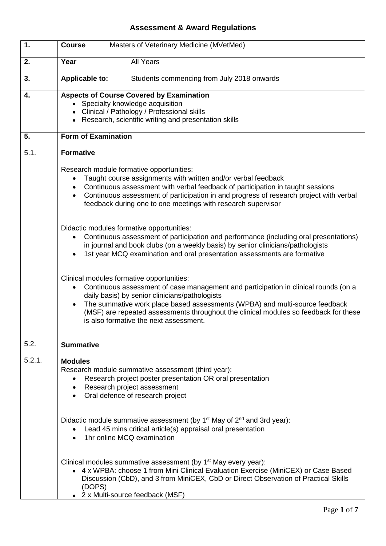## **Assessment & Award Regulations**

| 1.     | Masters of Veterinary Medicine (MVetMed)<br><b>Course</b>                                                                                                                                                                                                                                                                                                                                                        |  |  |  |  |  |  |
|--------|------------------------------------------------------------------------------------------------------------------------------------------------------------------------------------------------------------------------------------------------------------------------------------------------------------------------------------------------------------------------------------------------------------------|--|--|--|--|--|--|
| 2.     | <b>All Years</b><br>Year                                                                                                                                                                                                                                                                                                                                                                                         |  |  |  |  |  |  |
| 3.     | <b>Applicable to:</b><br>Students commencing from July 2018 onwards                                                                                                                                                                                                                                                                                                                                              |  |  |  |  |  |  |
| 4.     | <b>Aspects of Course Covered by Examination</b><br>• Specialty knowledge acquisition                                                                                                                                                                                                                                                                                                                             |  |  |  |  |  |  |
|        | • Clinical / Pathology / Professional skills                                                                                                                                                                                                                                                                                                                                                                     |  |  |  |  |  |  |
|        | • Research, scientific writing and presentation skills                                                                                                                                                                                                                                                                                                                                                           |  |  |  |  |  |  |
| 5.     | <b>Form of Examination</b>                                                                                                                                                                                                                                                                                                                                                                                       |  |  |  |  |  |  |
| 5.1.   | <b>Formative</b>                                                                                                                                                                                                                                                                                                                                                                                                 |  |  |  |  |  |  |
|        | Research module formative opportunities:<br>Taught course assignments with written and/or verbal feedback<br>Continuous assessment with verbal feedback of participation in taught sessions<br>٠<br>Continuous assessment of participation in and progress of research project with verbal<br>feedback during one to one meetings with research supervisor                                                       |  |  |  |  |  |  |
|        | Didactic modules formative opportunities:<br>Continuous assessment of participation and performance (including oral presentations)<br>in journal and book clubs (on a weekly basis) by senior clinicians/pathologists<br>1st year MCQ examination and oral presentation assessments are formative                                                                                                                |  |  |  |  |  |  |
|        | Clinical modules formative opportunities:<br>Continuous assessment of case management and participation in clinical rounds (on a<br>daily basis) by senior clinicians/pathologists<br>The summative work place based assessments (WPBA) and multi-source feedback<br>$\bullet$<br>(MSF) are repeated assessments throughout the clinical modules so feedback for these<br>is also formative the next assessment. |  |  |  |  |  |  |
| 5.2.   | <b>Summative</b>                                                                                                                                                                                                                                                                                                                                                                                                 |  |  |  |  |  |  |
| 5.2.1. | <b>Modules</b><br>Research module summative assessment (third year):<br>Research project poster presentation OR oral presentation<br>$\bullet$<br>• Research project assessment<br>• Oral defence of research project                                                                                                                                                                                            |  |  |  |  |  |  |
|        | Didactic module summative assessment (by 1 <sup>st</sup> May of 2 <sup>nd</sup> and 3rd year):<br>Lead 45 mins critical article(s) appraisal oral presentation<br>1hr online MCQ examination                                                                                                                                                                                                                     |  |  |  |  |  |  |
|        | Clinical modules summative assessment (by 1 <sup>st</sup> May every year):<br>• 4 x WPBA: choose 1 from Mini Clinical Evaluation Exercise (MiniCEX) or Case Based<br>Discussion (CbD), and 3 from MiniCEX, CbD or Direct Observation of Practical Skills<br>(DOPS)<br>• 2 x Multi-source feedback (MSF)                                                                                                          |  |  |  |  |  |  |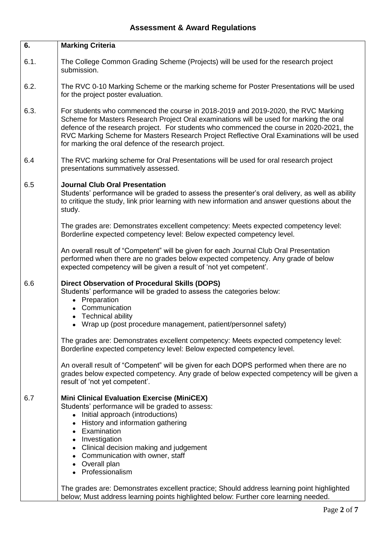| 6.   | <b>Marking Criteria</b>                                                                                                                                                                                                                                                                                                                                                                                                                      |  |  |  |  |  |
|------|----------------------------------------------------------------------------------------------------------------------------------------------------------------------------------------------------------------------------------------------------------------------------------------------------------------------------------------------------------------------------------------------------------------------------------------------|--|--|--|--|--|
| 6.1. | The College Common Grading Scheme (Projects) will be used for the research project<br>submission.                                                                                                                                                                                                                                                                                                                                            |  |  |  |  |  |
| 6.2. | The RVC 0-10 Marking Scheme or the marking scheme for Poster Presentations will be used<br>for the project poster evaluation.                                                                                                                                                                                                                                                                                                                |  |  |  |  |  |
| 6.3. | For students who commenced the course in 2018-2019 and 2019-2020, the RVC Marking<br>Scheme for Masters Research Project Oral examinations will be used for marking the oral<br>defence of the research project. For students who commenced the course in 2020-2021, the<br>RVC Marking Scheme for Masters Research Project Reflective Oral Examinations will be used<br>for marking the oral defence of the research project.               |  |  |  |  |  |
| 6.4  | The RVC marking scheme for Oral Presentations will be used for oral research project<br>presentations summatively assessed.                                                                                                                                                                                                                                                                                                                  |  |  |  |  |  |
| 6.5  | <b>Journal Club Oral Presentation</b><br>Students' performance will be graded to assess the presenter's oral delivery, as well as ability<br>to critique the study, link prior learning with new information and answer questions about the<br>study.                                                                                                                                                                                        |  |  |  |  |  |
|      | The grades are: Demonstrates excellent competency: Meets expected competency level:<br>Borderline expected competency level: Below expected competency level.                                                                                                                                                                                                                                                                                |  |  |  |  |  |
|      | An overall result of "Competent" will be given for each Journal Club Oral Presentation<br>performed when there are no grades below expected competency. Any grade of below<br>expected competency will be given a result of 'not yet competent'.                                                                                                                                                                                             |  |  |  |  |  |
| 6.6  | <b>Direct Observation of Procedural Skills (DOPS)</b><br>Students' performance will be graded to assess the categories below:<br>• Preparation<br>• Communication<br>• Technical ability<br>• Wrap up (post procedure management, patient/personnel safety)                                                                                                                                                                                  |  |  |  |  |  |
|      | The grades are: Demonstrates excellent competency: Meets expected competency level:<br>Borderline expected competency level: Below expected competency level.                                                                                                                                                                                                                                                                                |  |  |  |  |  |
|      | An overall result of "Competent" will be given for each DOPS performed when there are no<br>grades below expected competency. Any grade of below expected competency will be given a<br>result of 'not yet competent'.                                                                                                                                                                                                                       |  |  |  |  |  |
| 6.7  | <b>Mini Clinical Evaluation Exercise (MiniCEX)</b><br>Students' performance will be graded to assess:<br>• Initial approach (introductions)<br>• History and information gathering<br>• Examination<br>• Investigation<br>• Clinical decision making and judgement<br>• Communication with owner, staff<br>• Overall plan<br>• Professionalism<br>The grades are: Demonstrates excellent practice; Should address learning point highlighted |  |  |  |  |  |
|      | below; Must address learning points highlighted below: Further core learning needed.                                                                                                                                                                                                                                                                                                                                                         |  |  |  |  |  |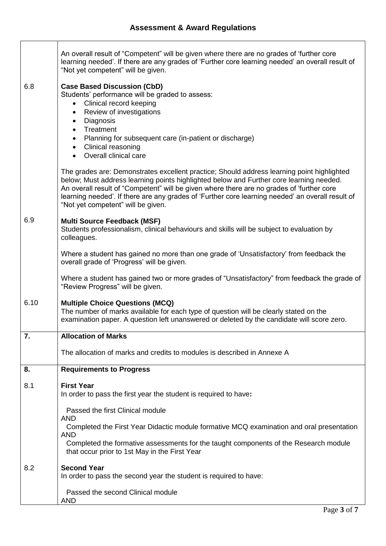|                                                                                                                                  |                                                 | An overall result of "Competent" will be given where there are no grades of 'further core<br>learning needed'. If there are any grades of 'Further core learning needed' an overall result of<br>"Not yet competent" will be given.                                                                                                                                                                                          |  |  |  |  |  |
|----------------------------------------------------------------------------------------------------------------------------------|-------------------------------------------------|------------------------------------------------------------------------------------------------------------------------------------------------------------------------------------------------------------------------------------------------------------------------------------------------------------------------------------------------------------------------------------------------------------------------------|--|--|--|--|--|
|                                                                                                                                  | 6.8                                             | <b>Case Based Discussion (CbD)</b><br>Students' performance will be graded to assess:<br>Clinical record keeping<br>٠<br>Review of investigations<br>$\bullet$<br>Diagnosis<br>$\bullet$<br>Treatment<br>Planning for subsequent care (in-patient or discharge)<br>$\bullet$<br>• Clinical reasoning<br>• Overall clinical care                                                                                              |  |  |  |  |  |
|                                                                                                                                  |                                                 | The grades are: Demonstrates excellent practice; Should address learning point highlighted<br>below; Must address learning points highlighted below and Further core learning needed.<br>An overall result of "Competent" will be given where there are no grades of 'further core<br>learning needed'. If there are any grades of 'Further core learning needed' an overall result of<br>"Not yet competent" will be given. |  |  |  |  |  |
|                                                                                                                                  | 6.9                                             | <b>Multi Source Feedback (MSF)</b><br>Students professionalism, clinical behaviours and skills will be subject to evaluation by<br>colleagues.                                                                                                                                                                                                                                                                               |  |  |  |  |  |
|                                                                                                                                  |                                                 | Where a student has gained no more than one grade of 'Unsatisfactory' from feedback the<br>overall grade of 'Progress' will be given.                                                                                                                                                                                                                                                                                        |  |  |  |  |  |
| Where a student has gained two or more grades of "Unsatisfactory" from feedback the grade of<br>"Review Progress" will be given. |                                                 |                                                                                                                                                                                                                                                                                                                                                                                                                              |  |  |  |  |  |
|                                                                                                                                  | 6.10                                            | <b>Multiple Choice Questions (MCQ)</b><br>The number of marks available for each type of question will be clearly stated on the<br>examination paper. A question left unanswered or deleted by the candidate will score zero.                                                                                                                                                                                                |  |  |  |  |  |
|                                                                                                                                  | 7.                                              | <b>Allocation of Marks</b>                                                                                                                                                                                                                                                                                                                                                                                                   |  |  |  |  |  |
|                                                                                                                                  |                                                 | The allocation of marks and credits to modules is described in Annexe A                                                                                                                                                                                                                                                                                                                                                      |  |  |  |  |  |
|                                                                                                                                  | 8.                                              | <b>Requirements to Progress</b>                                                                                                                                                                                                                                                                                                                                                                                              |  |  |  |  |  |
|                                                                                                                                  | 8.1                                             | <b>First Year</b><br>In order to pass the first year the student is required to have:                                                                                                                                                                                                                                                                                                                                        |  |  |  |  |  |
|                                                                                                                                  |                                                 | Passed the first Clinical module                                                                                                                                                                                                                                                                                                                                                                                             |  |  |  |  |  |
|                                                                                                                                  |                                                 | AND<br>Completed the First Year Didactic module formative MCQ examination and oral presentation                                                                                                                                                                                                                                                                                                                              |  |  |  |  |  |
|                                                                                                                                  |                                                 | <b>AND</b><br>Completed the formative assessments for the taught components of the Research module<br>that occur prior to 1st May in the First Year                                                                                                                                                                                                                                                                          |  |  |  |  |  |
|                                                                                                                                  | 8.2                                             | <b>Second Year</b><br>In order to pass the second year the student is required to have:                                                                                                                                                                                                                                                                                                                                      |  |  |  |  |  |
|                                                                                                                                  | Passed the second Clinical module<br><b>AND</b> |                                                                                                                                                                                                                                                                                                                                                                                                                              |  |  |  |  |  |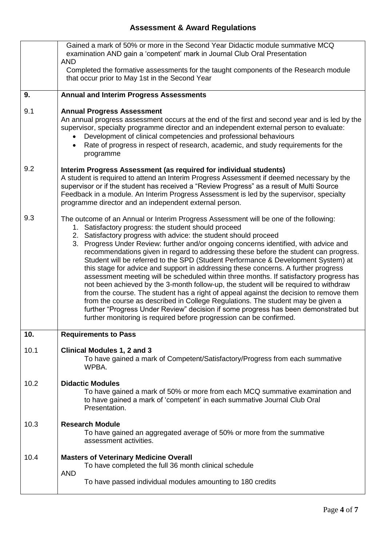## **Assessment & Award Regulations**

|      | Gained a mark of 50% or more in the Second Year Didactic module summative MCQ<br>examination AND gain a 'competent' mark in Journal Club Oral Presentation<br><b>AND</b>                                                                                                                                                                                                                                                                                                                                                                                                                                                                                                                                                                                                                                                                                                                                                                                                                                                                                                                                   |  |  |  |  |
|------|------------------------------------------------------------------------------------------------------------------------------------------------------------------------------------------------------------------------------------------------------------------------------------------------------------------------------------------------------------------------------------------------------------------------------------------------------------------------------------------------------------------------------------------------------------------------------------------------------------------------------------------------------------------------------------------------------------------------------------------------------------------------------------------------------------------------------------------------------------------------------------------------------------------------------------------------------------------------------------------------------------------------------------------------------------------------------------------------------------|--|--|--|--|
|      | Completed the formative assessments for the taught components of the Research module<br>that occur prior to May 1st in the Second Year                                                                                                                                                                                                                                                                                                                                                                                                                                                                                                                                                                                                                                                                                                                                                                                                                                                                                                                                                                     |  |  |  |  |
| 9.   | <b>Annual and Interim Progress Assessments</b>                                                                                                                                                                                                                                                                                                                                                                                                                                                                                                                                                                                                                                                                                                                                                                                                                                                                                                                                                                                                                                                             |  |  |  |  |
| 9.1  | <b>Annual Progress Assessment</b><br>An annual progress assessment occurs at the end of the first and second year and is led by the<br>supervisor, specialty programme director and an independent external person to evaluate:<br>Development of clinical competencies and professional behaviours<br>Rate of progress in respect of research, academic, and study requirements for the<br>programme                                                                                                                                                                                                                                                                                                                                                                                                                                                                                                                                                                                                                                                                                                      |  |  |  |  |
| 9.2  | Interim Progress Assessment (as required for individual students)<br>A student is required to attend an Interim Progress Assessment if deemed necessary by the<br>supervisor or if the student has received a "Review Progress" as a result of Multi Source<br>Feedback in a module. An Interim Progress Assessment is led by the supervisor, specialty<br>programme director and an independent external person.                                                                                                                                                                                                                                                                                                                                                                                                                                                                                                                                                                                                                                                                                          |  |  |  |  |
| 9.3  | The outcome of an Annual or Interim Progress Assessment will be one of the following:<br>1. Satisfactory progress: the student should proceed<br>2. Satisfactory progress with advice: the student should proceed<br>3. Progress Under Review: further and/or ongoing concerns identified, with advice and<br>recommendations given in regard to addressing these before the student can progress.<br>Student will be referred to the SPD (Student Performance & Development System) at<br>this stage for advice and support in addressing these concerns. A further progress<br>assessment meeting will be scheduled within three months. If satisfactory progress has<br>not been achieved by the 3-month follow-up, the student will be required to withdraw<br>from the course. The student has a right of appeal against the decision to remove them<br>from the course as described in College Regulations. The student may be given a<br>further "Progress Under Review" decision if some progress has been demonstrated but<br>further monitoring is required before progression can be confirmed. |  |  |  |  |
| 10.  | <b>Requirements to Pass</b>                                                                                                                                                                                                                                                                                                                                                                                                                                                                                                                                                                                                                                                                                                                                                                                                                                                                                                                                                                                                                                                                                |  |  |  |  |
| 10.1 | <b>Clinical Modules 1, 2 and 3</b><br>To have gained a mark of Competent/Satisfactory/Progress from each summative<br>WPBA.                                                                                                                                                                                                                                                                                                                                                                                                                                                                                                                                                                                                                                                                                                                                                                                                                                                                                                                                                                                |  |  |  |  |
| 10.2 | <b>Didactic Modules</b><br>To have gained a mark of 50% or more from each MCQ summative examination and<br>to have gained a mark of 'competent' in each summative Journal Club Oral<br>Presentation.                                                                                                                                                                                                                                                                                                                                                                                                                                                                                                                                                                                                                                                                                                                                                                                                                                                                                                       |  |  |  |  |
| 10.3 | <b>Research Module</b><br>To have gained an aggregated average of 50% or more from the summative<br>assessment activities.                                                                                                                                                                                                                                                                                                                                                                                                                                                                                                                                                                                                                                                                                                                                                                                                                                                                                                                                                                                 |  |  |  |  |
| 10.4 | <b>Masters of Veterinary Medicine Overall</b><br>To have completed the full 36 month clinical schedule<br><b>AND</b>                                                                                                                                                                                                                                                                                                                                                                                                                                                                                                                                                                                                                                                                                                                                                                                                                                                                                                                                                                                       |  |  |  |  |
|      | To have passed individual modules amounting to 180 credits                                                                                                                                                                                                                                                                                                                                                                                                                                                                                                                                                                                                                                                                                                                                                                                                                                                                                                                                                                                                                                                 |  |  |  |  |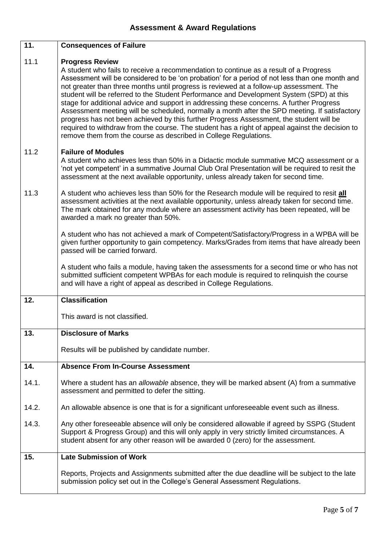| 11.   | <b>Consequences of Failure</b>                                                                                                                                                                                                                                                                                                                                                                                                                                                                                                                                                                                                                                                                                                                                                                                                                                          |  |  |  |  |  |
|-------|-------------------------------------------------------------------------------------------------------------------------------------------------------------------------------------------------------------------------------------------------------------------------------------------------------------------------------------------------------------------------------------------------------------------------------------------------------------------------------------------------------------------------------------------------------------------------------------------------------------------------------------------------------------------------------------------------------------------------------------------------------------------------------------------------------------------------------------------------------------------------|--|--|--|--|--|
| 11.1  | <b>Progress Review</b><br>A student who fails to receive a recommendation to continue as a result of a Progress<br>Assessment will be considered to be 'on probation' for a period of not less than one month and<br>not greater than three months until progress is reviewed at a follow-up assessment. The<br>student will be referred to the Student Performance and Development System (SPD) at this<br>stage for additional advice and support in addressing these concerns. A further Progress<br>Assessment meeting will be scheduled, normally a month after the SPD meeting. If satisfactory<br>progress has not been achieved by this further Progress Assessment, the student will be<br>required to withdraw from the course. The student has a right of appeal against the decision to<br>remove them from the course as described in College Regulations. |  |  |  |  |  |
| 11.2  | <b>Failure of Modules</b><br>A student who achieves less than 50% in a Didactic module summative MCQ assessment or a<br>'not yet competent' in a summative Journal Club Oral Presentation will be required to resit the<br>assessment at the next available opportunity, unless already taken for second time.                                                                                                                                                                                                                                                                                                                                                                                                                                                                                                                                                          |  |  |  |  |  |
| 11.3  | A student who achieves less than 50% for the Research module will be required to resit all<br>assessment activities at the next available opportunity, unless already taken for second time.<br>The mark obtained for any module where an assessment activity has been repeated, will be<br>awarded a mark no greater than 50%.                                                                                                                                                                                                                                                                                                                                                                                                                                                                                                                                         |  |  |  |  |  |
|       | A student who has not achieved a mark of Competent/Satisfactory/Progress in a WPBA will be<br>given further opportunity to gain competency. Marks/Grades from items that have already been<br>passed will be carried forward.                                                                                                                                                                                                                                                                                                                                                                                                                                                                                                                                                                                                                                           |  |  |  |  |  |
|       | A student who fails a module, having taken the assessments for a second time or who has not<br>submitted sufficient competent WPBAs for each module is required to relinquish the course<br>and will have a right of appeal as described in College Regulations.                                                                                                                                                                                                                                                                                                                                                                                                                                                                                                                                                                                                        |  |  |  |  |  |
| 12.   | <b>Classification</b>                                                                                                                                                                                                                                                                                                                                                                                                                                                                                                                                                                                                                                                                                                                                                                                                                                                   |  |  |  |  |  |
|       | This award is not classified.                                                                                                                                                                                                                                                                                                                                                                                                                                                                                                                                                                                                                                                                                                                                                                                                                                           |  |  |  |  |  |
| 13.   | <b>Disclosure of Marks</b>                                                                                                                                                                                                                                                                                                                                                                                                                                                                                                                                                                                                                                                                                                                                                                                                                                              |  |  |  |  |  |
|       | Results will be published by candidate number.                                                                                                                                                                                                                                                                                                                                                                                                                                                                                                                                                                                                                                                                                                                                                                                                                          |  |  |  |  |  |
| 14.   | <b>Absence From In-Course Assessment</b>                                                                                                                                                                                                                                                                                                                                                                                                                                                                                                                                                                                                                                                                                                                                                                                                                                |  |  |  |  |  |
| 14.1. | Where a student has an allowable absence, they will be marked absent (A) from a summative<br>assessment and permitted to defer the sitting.                                                                                                                                                                                                                                                                                                                                                                                                                                                                                                                                                                                                                                                                                                                             |  |  |  |  |  |
| 14.2. | An allowable absence is one that is for a significant unforeseeable event such as illness.                                                                                                                                                                                                                                                                                                                                                                                                                                                                                                                                                                                                                                                                                                                                                                              |  |  |  |  |  |
| 14.3. | Any other foreseeable absence will only be considered allowable if agreed by SSPG (Student<br>Support & Progress Group) and this will only apply in very strictly limited circumstances. A<br>student absent for any other reason will be awarded 0 (zero) for the assessment.                                                                                                                                                                                                                                                                                                                                                                                                                                                                                                                                                                                          |  |  |  |  |  |
| 15.   | <b>Late Submission of Work</b>                                                                                                                                                                                                                                                                                                                                                                                                                                                                                                                                                                                                                                                                                                                                                                                                                                          |  |  |  |  |  |
|       | Reports, Projects and Assignments submitted after the due deadline will be subject to the late<br>submission policy set out in the College's General Assessment Regulations.                                                                                                                                                                                                                                                                                                                                                                                                                                                                                                                                                                                                                                                                                            |  |  |  |  |  |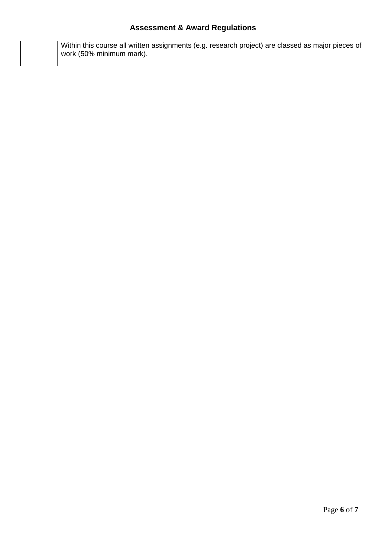|  | Within this course all written assignments (e.g. research project) are classed as major pieces of |
|--|---------------------------------------------------------------------------------------------------|
|  | work (50% minimum mark).                                                                          |
|  |                                                                                                   |